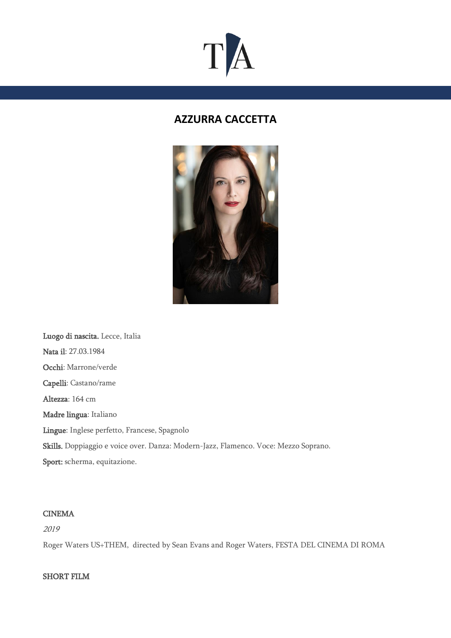# $T$  $\bm{A}$

# **AZZURRA CACCETTA**



Luogo di nascita. Lecce, Italia Nata il: 27.03.1984 Occhi: Marrone/verde Capelli: Castano/rame Altezza: 164 cm Madre lingua: Italiano Lingue: Inglese perfetto, Francese, Spagnolo Skills. Doppiaggio e voice over. Danza: Modern-Jazz, Flamenco. Voce: Mezzo Soprano. Sport: scherma, equitazione.

#### CINEMA

2019

Roger Waters US+THEM, directed by Sean Evans and Roger Waters, FESTA DEL CINEMA DI ROMA

#### SHORT FILM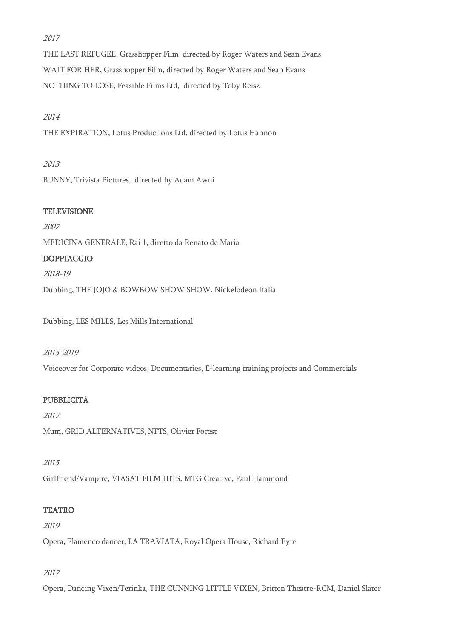## 2017

THE LAST REFUGEE, Grasshopper Film, directed by Roger Waters and Sean Evans WAIT FOR HER, Grasshopper Film, directed by Roger Waters and Sean Evans NOTHING TO LOSE, Feasible Films Ltd, directed by Toby Reisz

## 2014

THE EXPIRATION, Lotus Productions Ltd, directed by Lotus Hannon

#### 2013

BUNNY, Trivista Pictures, directed by Adam Awni

## **TELEVISIONE**

2007 MEDICINA GENERALE, Rai 1, diretto da Renato de Maria DOPPIAGGIO 2018-19

Dubbing, THE JOJO & BOWBOW SHOW SHOW, Nickelodeon Italia

Dubbing, LES MILLS, Les Mills International

#### 2015-2019

Voiceover for Corporate videos, Documentaries, E-learning training projects and Commercials

# PUBBLICITÀ

2017 Mum, GRID ALTERNATIVES, NFTS, Olivier Forest

#### 2015

Girlfriend/Vampire, VIASAT FILM HITS, MTG Creative, Paul Hammond

# **TEATRO**

2019

Opera, Flamenco dancer, LA TRAVIATA, Royal Opera House, Richard Eyre

#### 2017

Opera, Dancing Vixen/Terinka, THE CUNNING LITTLE VIXEN, Britten Theatre-RCM, Daniel Slater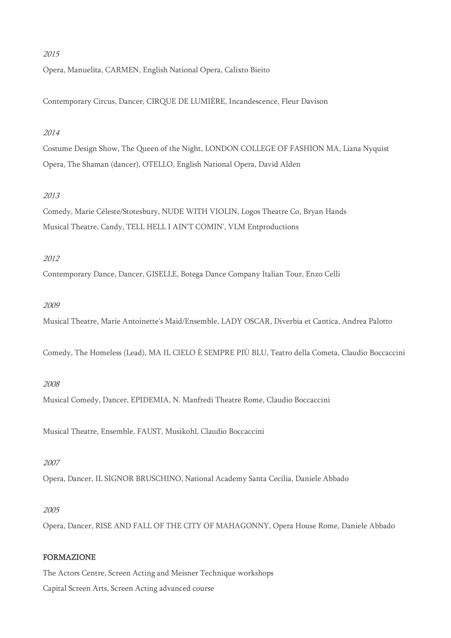#### 2015

Opera, Manuelita, CARMEN, English National Opera, Calixto Bieito

Contemporary Circus, Dancer, CIRQUE DE LUMIÈRE, Incandescence, Fleur Davison

#### 2014

Costume Design Show, The Queen of the Night, LONDON COLLEGE OF FASHION MA, Liana Nyquist Opera, The Shaman (dancer), OTELLO, English National Opera, David Alden

#### 2013

Comedy, Marie Céleste/Stotesbury, NUDE WITH VIOLIN, Logos Theatre Co, Bryan Hands Musical Theatre, Candy, TELL HELL I AIN'T COMIN', VLM Entproductions

#### 2012

Contemporary Dance, Dancer, GISELLE, Botega Dance Company Italian Tour, Enzo Celli

#### 2009

Musical Theatre, Marie Antoinette's Maid/Ensemble, LADY OSCAR, Diverbia et Cantica, Andrea Palotto

Comedy, The Homeless (Lead), MA IL CIELO È SEMPRE PIÙ BLU, Teatro della Cometa, Claudio Boccaccini

#### 2008

Musical Comedy, Dancer, EPIDEMIA, N. Manfredi Theatre Rome, Claudio Boccaccini

Musical Theatre, Ensemble, FAUST, Musikohl, Claudio Boccaccini

#### 2007

Opera, Dancer, IL SIGNOR BRUSCHINO, National Academy Santa Cecilia, Daniele Abbado

#### 2005

Opera, Dancer, RISE AND FALL OF THE CITY OF MAHAGONNY, Opera House Rome, Daniele Abbado

#### FORMAZIONE

The Actors Centre, Screen Acting and Meisner Technique workshops

Capital Screen Arts, Screen Acting advanced course